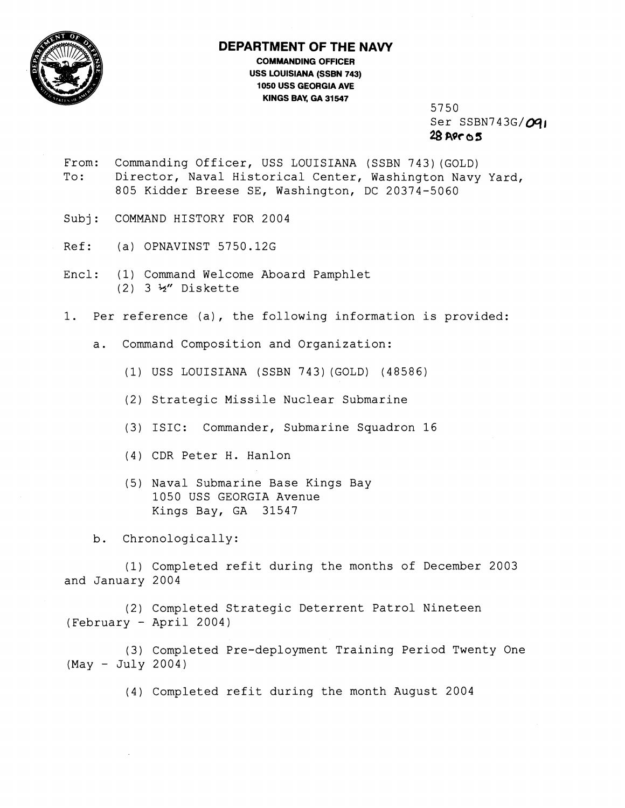

## **DEPARTMENT OF THE NAVY**

**COMMANDING OFFICER USS LOUISIANA (SSBN 743) 1050 USS GEORGIA AVE KINGS BAY, GA 31547** 

5750 Ser SSBN743G/091 **28 AQ~ a 3** 

- From: Commanding Officer, USS LOUISIANA (SSBN 743)(GOLD) To: Director, Naval Historical Center, Washington Navy Yard, 805 Kidder Breese SE, Washington, DC 20374-5060
- Subj: COMMAND HISTORY FOR 2004
- Ref: (a) OPNAVINST 5750.126
- Encl: (1) Command Welcome Aboard Pamphlet (2) 3 %" Diskette
- 1. Per reference (a), the following information is provided:
	- a. Command Composition and Organization:
		- (1) USS LOUISIANA (SSBN 743) (GOLD) (48586)
		- (2) Strategic Missile Nuclear Submarine
		- (3) ISIC: Commander, Submarine Squadron 16
		- (4) CDR Peter H. Hanlon
		- (5) Naval Submarine Base Kings Bay 1050 USS GEORGIA Avenue Kings Bay, GA 31547

b. Chronologically:

(1) Completed refit during the months of December 2003 and January 2004

(2) Completed Strategic Deterrent Patrol Nineteen (February - April 2004)

(3) Completed Pre-deployment Training Period Twenty One (May - July 2004)

(4) Completed refit during the month August 2004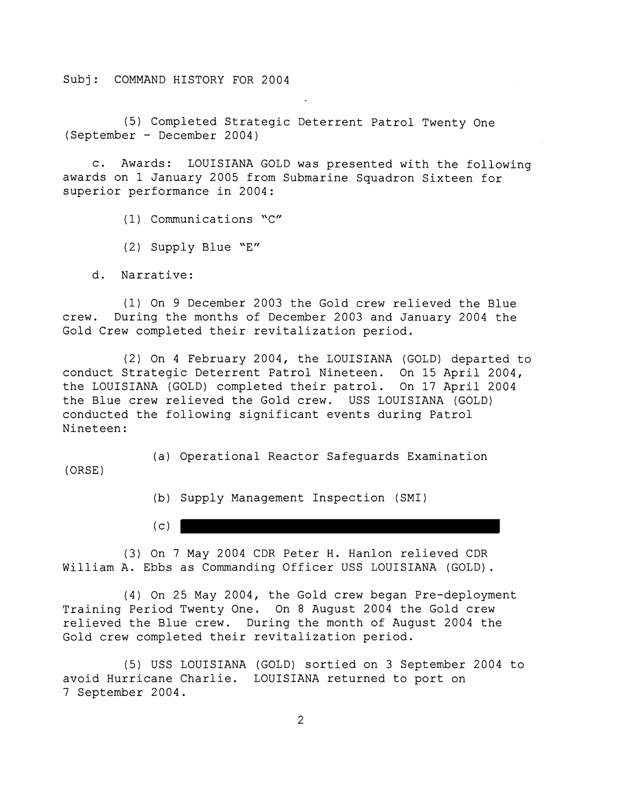Subj: COMMAND HISTORY FOR 2004

(5) Completed Strategic Deterrent Patrol Twenty One (September - December 2004)

c. Awards: LOUISIANA GOLD was presented with the following awards on 1 January 2005 from Submarine Squadron Sixteen for superior performance in 2004:

(1) Communications 'C"

(2) Supply Blue "E"

d. Narrative:

(1) On 9 December 2003 the Gold crew relieved the Blue crew. During the months of December 2003 and January 2004 the Gold Crew completed their revitalization period.

(2) On 4 February 2004, the LOUISIANA (GOLD) departed to conduct Strategic Deterrent Patrol Nineteen. On 15 April 2004, the LOUISIANA (GOLD) completed their patrol. On 17 April 2004 the Blue crew relieved the Gold crew. USS LOUISIANA (GOLD) conducted the following significant events during Patrol Nineteen:

(ORSE )

(a) Operational Reactor Safeguards Examination

(b) Supply Management Inspection (SMI)

 $(c)$  )

(3) On 7 May 2004 CDR Peter H. Hanlon relieved CDR William A. Ebbs as Commanding Officer USS LOUISIANA (GOLD).

(4) On 25 May 2004, the Gold crew began Pre-deployment Training Period Twenty One. On 8 August 2004 the Gold crew relieved the Blue crew. During the month of August 2004 the Gold crew completed their revitalization period.

(5) USS LOUISIANA (GOLD) sortied on 3 September 2004 to avoid Hurricane Charlie. LOUISIANA returned to port on 7 September 2004.